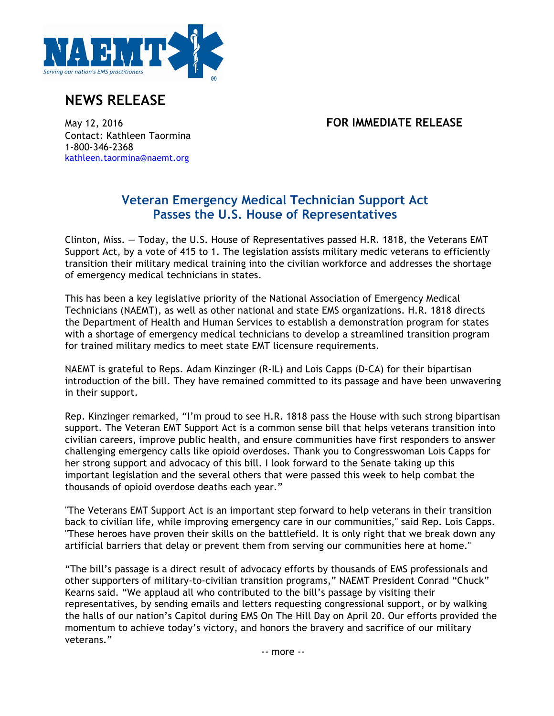

## **NEWS RELEASE**

May 12, 2016 **FOR IMMEDIATE RELEASE**

Contact: Kathleen Taormina 1-800-346-2368 kathleen.taormina@naemt.org

## **Veteran Emergency Medical Technician Support Act Passes the U.S. House of Representatives**

Clinton, Miss. — Today, the U.S. House of Representatives passed H.R. 1818, the Veterans EMT Support Act, by a vote of 415 to 1. The legislation assists military medic veterans to efficiently transition their military medical training into the civilian workforce and addresses the shortage of emergency medical technicians in states.

This has been a key legislative priority of the National Association of Emergency Medical Technicians (NAEMT), as well as other national and state EMS organizations. H.R. 1818 directs the Department of Health and Human Services to establish a demonstration program for states with a shortage of emergency medical technicians to develop a streamlined transition program for trained military medics to meet state EMT licensure requirements.

NAEMT is grateful to Reps. Adam Kinzinger (R-IL) and Lois Capps (D-CA) for their bipartisan introduction of the bill. They have remained committed to its passage and have been unwavering in their support.

Rep. Kinzinger remarked, "I'm proud to see H.R. 1818 pass the House with such strong bipartisan support. The Veteran EMT Support Act is a common sense bill that helps veterans transition into civilian careers, improve public health, and ensure communities have first responders to answer challenging emergency calls like opioid overdoses. Thank you to Congresswoman Lois Capps for her strong support and advocacy of this bill. I look forward to the Senate taking up this important legislation and the several others that were passed this week to help combat the thousands of opioid overdose deaths each year."

"The Veterans EMT Support Act is an important step forward to help veterans in their transition back to civilian life, while improving emergency care in our communities," said Rep. Lois Capps. "These heroes have proven their skills on the battlefield. It is only right that we break down any artificial barriers that delay or prevent them from serving our communities here at home."

"The bill's passage is a direct result of advocacy efforts by thousands of EMS professionals and other supporters of military-to-civilian transition programs," NAEMT President Conrad "Chuck" Kearns said. "We applaud all who contributed to the bill's passage by visiting their representatives, by sending emails and letters requesting congressional support, or by walking the halls of our nation's Capitol during EMS On The Hill Day on April 20. Our efforts provided the momentum to achieve today's victory, and honors the bravery and sacrifice of our military veterans."